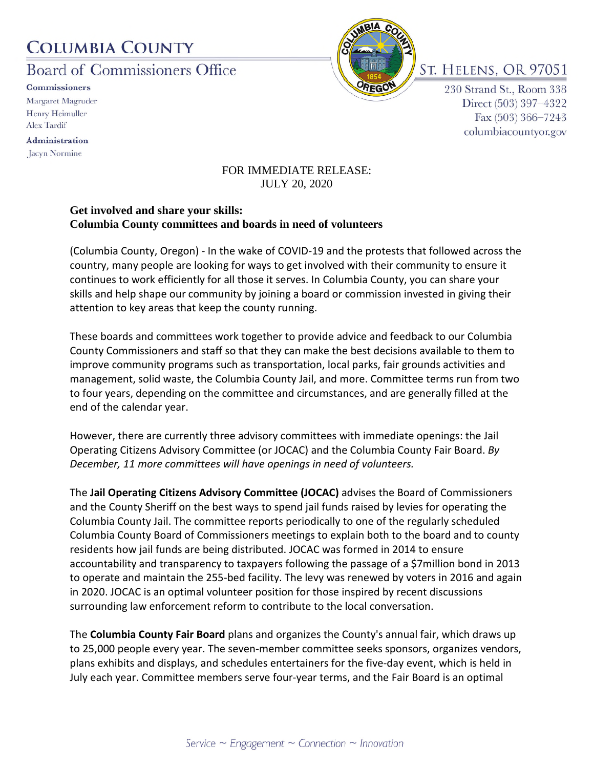## **COLUMBIA COUNTY**

Board of Commissioners Office

**Commissioners** Margaret Magruder Henry Heimuller **Alex Tardif** 

Administration Jacyn Normine



St. Helens. OR 97051

230 Strand St., Room 338 Direct (503) 397-4322 Fax (503) 366-7243 columbiacountyor.gov

## FOR IMMEDIATE RELEASE: JULY 20, 2020

## **Get involved and share your skills: Columbia County committees and boards in need of volunteers**

(Columbia County, Oregon) - In the wake of COVID-19 and the protests that followed across the country, many people are looking for ways to get involved with their community to ensure it continues to work efficiently for all those it serves. In Columbia County, you can share your skills and help shape our community by joining a board or commission invested in giving their attention to key areas that keep the county running.

These boards and committees work together to provide advice and feedback to our Columbia County Commissioners and staff so that they can make the best decisions available to them to improve community programs such as transportation, local parks, fair grounds activities and management, solid waste, the Columbia County Jail, and more. Committee terms run from two to four years, depending on the committee and circumstances, and are generally filled at the end of the calendar year.

However, there are currently three advisory committees with immediate openings: the Jail Operating Citizens Advisory Committee (or JOCAC) and the Columbia County Fair Board. *By December, 11 more committees will have openings in need of volunteers.*

The **Jail Operating Citizens Advisory Committee (JOCAC)** advises the Board of Commissioners and the County Sheriff on the best ways to spend jail funds raised by levies for operating the Columbia County Jail. The committee reports periodically to one of the regularly scheduled Columbia County Board of Commissioners meetings to explain both to the board and to county residents how jail funds are being distributed. JOCAC was formed in 2014 to ensure accountability and transparency to taxpayers following the passage of a \$7million bond in 2013 to operate and maintain the 255-bed facility. The levy was renewed by voters in 2016 and again in 2020. JOCAC is an optimal volunteer position for those inspired by recent discussions surrounding law enforcement reform to contribute to the local conversation.

The **Columbia County Fair Board** plans and organizes the County's annual fair, which draws up to 25,000 people every year. The seven-member committee seeks sponsors, organizes vendors, plans exhibits and displays, and schedules entertainers for the five-day event, which is held in July each year. Committee members serve four-year terms, and the Fair Board is an optimal